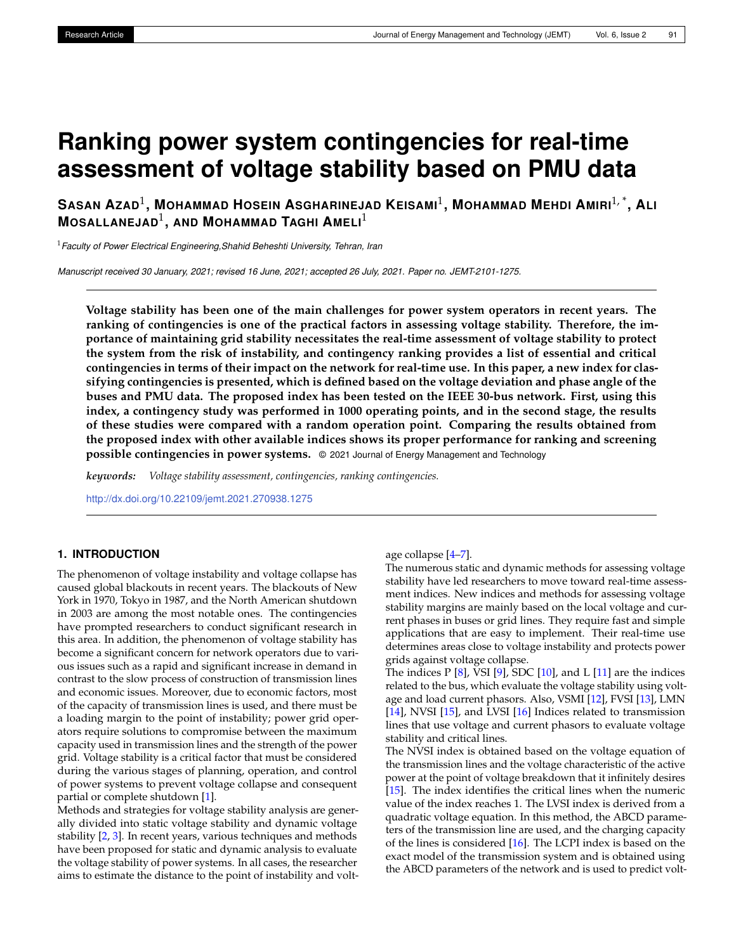# **Ranking power system contingencies for real-time assessment of voltage stability based on PMU data**

SASAN AZAD $^1$ , Mohammad Hosein Asgharinejad Keisami $^1$ , Mohammad Mehdi Amiri $^{1,\, *}$ , Ali **MOSALLANEJAD**<sup>1</sup> **, AND MOHAMMAD TAGHI AMELI**<sup>1</sup>

<sup>1</sup>*Faculty of Power Electrical Engineering,Shahid Beheshti University, Tehran, Iran*

*Manuscript received 30 January, 2021; revised 16 June, 2021; accepted 26 July, 2021. Paper no. JEMT-2101-1275.*

**Voltage stability has been one of the main challenges for power system operators in recent years. The ranking of contingencies is one of the practical factors in assessing voltage stability. Therefore, the importance of maintaining grid stability necessitates the real-time assessment of voltage stability to protect the system from the risk of instability, and contingency ranking provides a list of essential and critical contingencies in terms of their impact on the network for real-time use. In this paper, a new index for classifying contingencies is presented, which is defined based on the voltage deviation and phase angle of the buses and PMU data. The proposed index has been tested on the IEEE 30-bus network. First, using this index, a contingency study was performed in 1000 operating points, and in the second stage, the results of these studies were compared with a random operation point. Comparing the results obtained from the proposed index with other available indices shows its proper performance for ranking and screening possible contingencies in power systems.** © 2021 Journal of Energy Management and Technology

*keywords: Voltage stability assessment, contingencies, ranking contingencies.*

<http://dx.doi.org/10.22109/jemt.2021.270938.1275>

# **1. INTRODUCTION**

The phenomenon of voltage instability and voltage collapse has caused global blackouts in recent years. The blackouts of New York in 1970, Tokyo in 1987, and the North American shutdown in 2003 are among the most notable ones. The contingencies have prompted researchers to conduct significant research in this area. In addition, the phenomenon of voltage stability has become a significant concern for network operators due to various issues such as a rapid and significant increase in demand in contrast to the slow process of construction of transmission lines and economic issues. Moreover, due to economic factors, most of the capacity of transmission lines is used, and there must be a loading margin to the point of instability; power grid operators require solutions to compromise between the maximum capacity used in transmission lines and the strength of the power grid. Voltage stability is a critical factor that must be considered during the various stages of planning, operation, and control of power systems to prevent voltage collapse and consequent partial or complete shutdown [\[1\]](#page-6-0).

Methods and strategies for voltage stability analysis are generally divided into static voltage stability and dynamic voltage stability [\[2,](#page-6-1) [3\]](#page-6-2). In recent years, various techniques and methods have been proposed for static and dynamic analysis to evaluate the voltage stability of power systems. In all cases, the researcher aims to estimate the distance to the point of instability and voltage collapse [\[4–](#page-6-3)[7\]](#page-6-4).

The numerous static and dynamic methods for assessing voltage stability have led researchers to move toward real-time assessment indices. New indices and methods for assessing voltage stability margins are mainly based on the local voltage and current phases in buses or grid lines. They require fast and simple applications that are easy to implement. Their real-time use determines areas close to voltage instability and protects power grids against voltage collapse.

The indices  $P [8]$  $P [8]$ , VSI  $[9]$ , SDC  $[10]$ , and L  $[11]$  are the indices related to the bus, which evaluate the voltage stability using voltage and load current phasors. Also, VSMI [\[12\]](#page-6-9), FVSI [\[13\]](#page-6-10), LMN [\[14\]](#page-6-11), NVSI [\[15\]](#page-6-12), and LVSI [\[16\]](#page-6-13) Indices related to transmission lines that use voltage and current phasors to evaluate voltage stability and critical lines.

The NVSI index is obtained based on the voltage equation of the transmission lines and the voltage characteristic of the active power at the point of voltage breakdown that it infinitely desires [\[15\]](#page-6-12). The index identifies the critical lines when the numeric value of the index reaches 1. The LVSI index is derived from a quadratic voltage equation. In this method, the ABCD parameters of the transmission line are used, and the charging capacity of the lines is considered [\[16\]](#page-6-13). The LCPI index is based on the exact model of the transmission system and is obtained using the ABCD parameters of the network and is used to predict volt-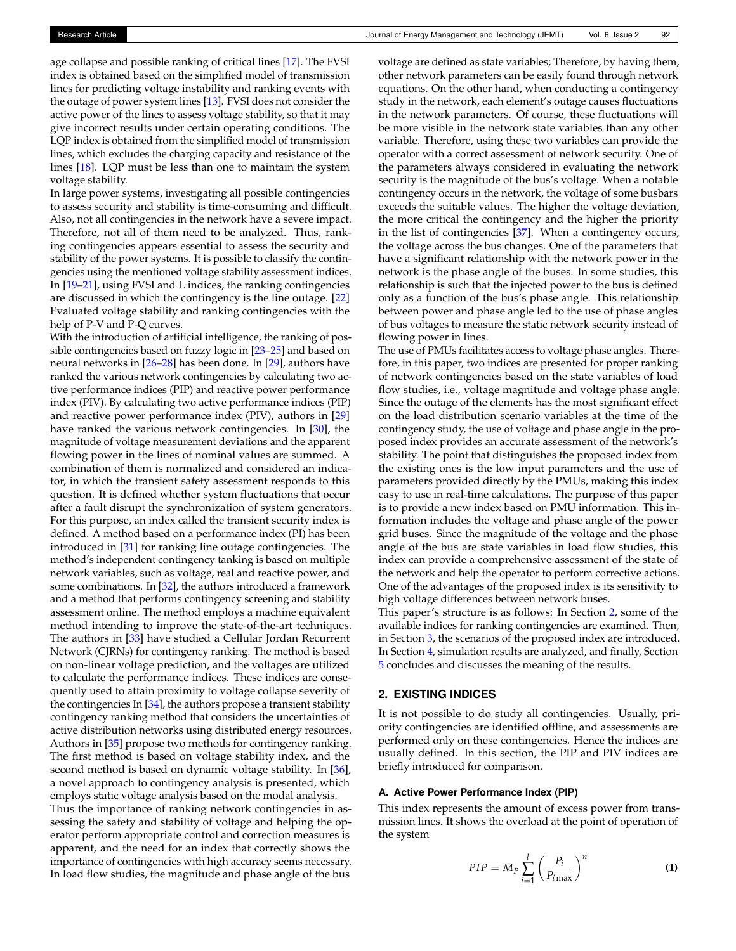age collapse and possible ranking of critical lines [\[17\]](#page-6-14). The FVSI index is obtained based on the simplified model of transmission lines for predicting voltage instability and ranking events with the outage of power system lines [\[13\]](#page-6-10). FVSI does not consider the active power of the lines to assess voltage stability, so that it may give incorrect results under certain operating conditions. The LQP index is obtained from the simplified model of transmission lines, which excludes the charging capacity and resistance of the lines [\[18\]](#page-6-15). LQP must be less than one to maintain the system voltage stability.

In large power systems, investigating all possible contingencies to assess security and stability is time-consuming and difficult. Also, not all contingencies in the network have a severe impact. Therefore, not all of them need to be analyzed. Thus, ranking contingencies appears essential to assess the security and stability of the power systems. It is possible to classify the contingencies using the mentioned voltage stability assessment indices. In [\[19](#page-6-16)[–21\]](#page-6-17), using FVSI and L indices, the ranking contingencies are discussed in which the contingency is the line outage. [\[22\]](#page-6-18) Evaluated voltage stability and ranking contingencies with the help of P-V and P-Q curves.

With the introduction of artificial intelligence, the ranking of possible contingencies based on fuzzy logic in [\[23–](#page-6-19)[25\]](#page-6-20) and based on neural networks in [\[26](#page-6-21)[–28\]](#page-6-22) has been done. In [\[29\]](#page-6-23), authors have ranked the various network contingencies by calculating two active performance indices (PIP) and reactive power performance index (PIV). By calculating two active performance indices (PIP) and reactive power performance index (PIV), authors in [\[29\]](#page-6-23) have ranked the various network contingencies. In [\[30\]](#page-6-24), the magnitude of voltage measurement deviations and the apparent flowing power in the lines of nominal values are summed. A combination of them is normalized and considered an indicator, in which the transient safety assessment responds to this question. It is defined whether system fluctuations that occur after a fault disrupt the synchronization of system generators. For this purpose, an index called the transient security index is defined. A method based on a performance index (PI) has been introduced in [\[31\]](#page-6-25) for ranking line outage contingencies. The method's independent contingency tanking is based on multiple network variables, such as voltage, real and reactive power, and some combinations. In [\[32\]](#page-6-26), the authors introduced a framework and a method that performs contingency screening and stability assessment online. The method employs a machine equivalent method intending to improve the state-of-the-art techniques. The authors in [\[33\]](#page-6-27) have studied a Cellular Jordan Recurrent Network (CJRNs) for contingency ranking. The method is based on non-linear voltage prediction, and the voltages are utilized to calculate the performance indices. These indices are consequently used to attain proximity to voltage collapse severity of the contingencies In [\[34\]](#page-6-28), the authors propose a transient stability contingency ranking method that considers the uncertainties of active distribution networks using distributed energy resources. Authors in [\[35\]](#page-6-29) propose two methods for contingency ranking. The first method is based on voltage stability index, and the second method is based on dynamic voltage stability. In [\[36\]](#page-6-30), a novel approach to contingency analysis is presented, which employs static voltage analysis based on the modal analysis.

Thus the importance of ranking network contingencies in assessing the safety and stability of voltage and helping the operator perform appropriate control and correction measures is apparent, and the need for an index that correctly shows the importance of contingencies with high accuracy seems necessary. In load flow studies, the magnitude and phase angle of the bus

voltage are defined as state variables; Therefore, by having them, other network parameters can be easily found through network equations. On the other hand, when conducting a contingency study in the network, each element's outage causes fluctuations in the network parameters. Of course, these fluctuations will be more visible in the network state variables than any other variable. Therefore, using these two variables can provide the operator with a correct assessment of network security. One of the parameters always considered in evaluating the network security is the magnitude of the bus's voltage. When a notable contingency occurs in the network, the voltage of some busbars exceeds the suitable values. The higher the voltage deviation, the more critical the contingency and the higher the priority in the list of contingencies [\[37\]](#page-6-31). When a contingency occurs, the voltage across the bus changes. One of the parameters that have a significant relationship with the network power in the network is the phase angle of the buses. In some studies, this relationship is such that the injected power to the bus is defined only as a function of the bus's phase angle. This relationship between power and phase angle led to the use of phase angles of bus voltages to measure the static network security instead of flowing power in lines.

The use of PMUs facilitates access to voltage phase angles. Therefore, in this paper, two indices are presented for proper ranking of network contingencies based on the state variables of load flow studies, i.e., voltage magnitude and voltage phase angle. Since the outage of the elements has the most significant effect on the load distribution scenario variables at the time of the contingency study, the use of voltage and phase angle in the proposed index provides an accurate assessment of the network's stability. The point that distinguishes the proposed index from the existing ones is the low input parameters and the use of parameters provided directly by the PMUs, making this index easy to use in real-time calculations. The purpose of this paper is to provide a new index based on PMU information. This information includes the voltage and phase angle of the power grid buses. Since the magnitude of the voltage and the phase angle of the bus are state variables in load flow studies, this index can provide a comprehensive assessment of the state of the network and help the operator to perform corrective actions. One of the advantages of the proposed index is its sensitivity to high voltage differences between network buses.

This paper's structure is as follows: In Section [2,](#page-1-0) some of the available indices for ranking contingencies are examined. Then, in Section [3,](#page-2-0) the scenarios of the proposed index are introduced. In Section [4,](#page-2-1) simulation results are analyzed, and finally, Section [5](#page-3-0) concludes and discusses the meaning of the results.

## <span id="page-1-0"></span>**2. EXISTING INDICES**

It is not possible to do study all contingencies. Usually, priority contingencies are identified offline, and assessments are performed only on these contingencies. Hence the indices are usually defined. In this section, the PIP and PIV indices are briefly introduced for comparison.

## **A. Active Power Performance Index (PIP)**

This index represents the amount of excess power from transmission lines. It shows the overload at the point of operation of the system

<span id="page-1-1"></span>
$$
PIP = M_P \sum_{i=1}^{l} \left(\frac{P_i}{P_{i\max}}\right)^n
$$
 (1)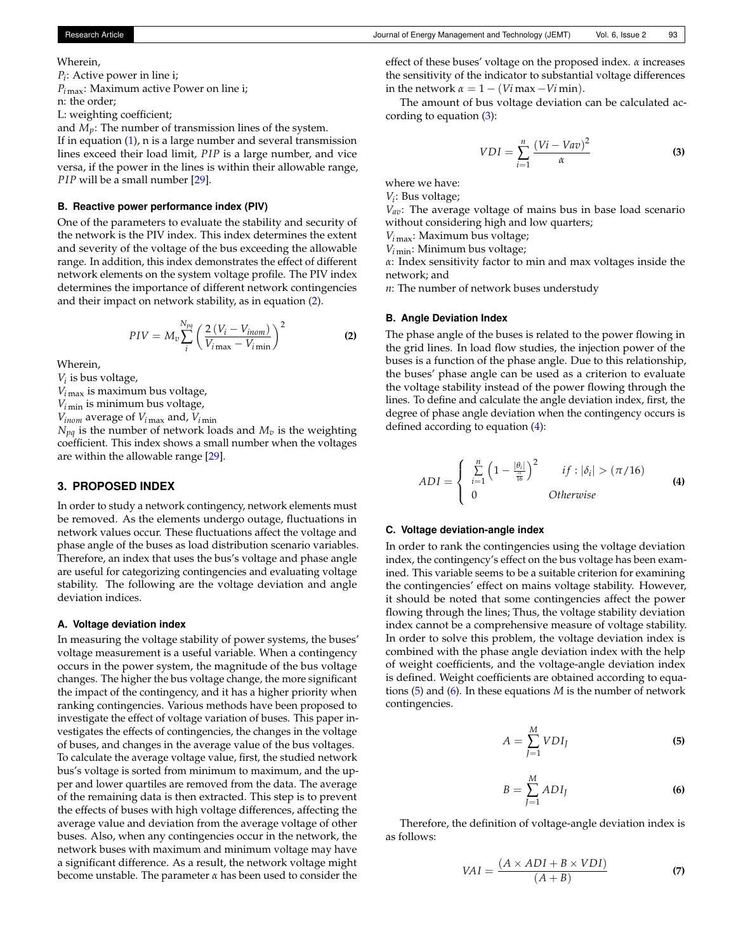#### Wherein,

*Pi* : Active power in line i; *P<sup>i</sup>* max: Maximum active Power on line i; n: the order;

L: weighting coefficient;

and  $M_p$ : The number of transmission lines of the system.

If in equation [\(1\)](#page-1-1), n is a large number and several transmission lines exceed their load limit, *PIP* is a large number, and vice versa, if the power in the lines is within their allowable range, *PIP* will be a small number [\[29\]](#page-6-23).

## **B. Reactive power performance index (PIV)**

One of the parameters to evaluate the stability and security of the network is the PIV index. This index determines the extent and severity of the voltage of the bus exceeding the allowable range. In addition, this index demonstrates the effect of different network elements on the system voltage profile. The PIV index determines the importance of different network contingencies and their impact on network stability, as in equation [\(2\)](#page-2-2).

<span id="page-2-2"></span>
$$
PIV = M_v \sum_{i}^{N_{pq}} \left( \frac{2\left(V_i - V_{inom}\right)}{V_{i\max} - V_{i\min}} \right)^2
$$
 (2)

Wherein,

*Vi* is bus voltage,

 $V_{i\,\text{max}}$  is maximum bus voltage,

 $V_{i \text{min}}$  is minimum bus voltage,

 $V_{inom}$  average of  $V_{i \max}$  and,  $V_{i \min}$ 

 $N_{pq}$  is the number of network loads and  $M_v$  is the weighting coefficient. This index shows a small number when the voltages are within the allowable range [\[29\]](#page-6-23).

## <span id="page-2-0"></span>**3. PROPOSED INDEX**

In order to study a network contingency, network elements must be removed. As the elements undergo outage, fluctuations in network values occur. These fluctuations affect the voltage and phase angle of the buses as load distribution scenario variables. Therefore, an index that uses the bus's voltage and phase angle are useful for categorizing contingencies and evaluating voltage stability. The following are the voltage deviation and angle deviation indices.

## **A. Voltage deviation index**

In measuring the voltage stability of power systems, the buses' voltage measurement is a useful variable. When a contingency occurs in the power system, the magnitude of the bus voltage changes. The higher the bus voltage change, the more significant the impact of the contingency, and it has a higher priority when ranking contingencies. Various methods have been proposed to investigate the effect of voltage variation of buses. This paper investigates the effects of contingencies, the changes in the voltage of buses, and changes in the average value of the bus voltages. To calculate the average voltage value, first, the studied network bus's voltage is sorted from minimum to maximum, and the upper and lower quartiles are removed from the data. The average of the remaining data is then extracted. This step is to prevent the effects of buses with high voltage differences, affecting the average value and deviation from the average voltage of other buses. Also, when any contingencies occur in the network, the network buses with maximum and minimum voltage may have a significant difference. As a result, the network voltage might become unstable. The parameter *α* has been used to consider the

effect of these buses' voltage on the proposed index. *α* increases the sensitivity of the indicator to substantial voltage differences in the network  $\alpha = 1 - (Vi \max - Vi \min)$ .

The amount of bus voltage deviation can be calculated according to equation  $(3)$ :

<span id="page-2-3"></span>
$$
VDI = \sum_{i=1}^{n} \frac{(Vi - Vav)^2}{\alpha}
$$
 (3)

where we have:

*Vi* : Bus voltage;

*Vav*: The average voltage of mains bus in base load scenario without considering high and low quarters;

*V<sup>i</sup>* max: Maximum bus voltage;

 $V_{i\text{min}}$ : Minimum bus voltage;

*α*: Index sensitivity factor to min and max voltages inside the network; and

*n*: The number of network buses understudy

#### **B. Angle Deviation Index**

The phase angle of the buses is related to the power flowing in the grid lines. In load flow studies, the injection power of the buses is a function of the phase angle. Due to this relationship, the buses' phase angle can be used as a criterion to evaluate the voltage stability instead of the power flowing through the lines. To define and calculate the angle deviation index, first, the degree of phase angle deviation when the contingency occurs is defined according to equation [\(4\)](#page-2-4):

<span id="page-2-4"></span>
$$
ADI = \begin{cases} \sum_{i=1}^{n} \left(1 - \frac{|\theta_i|}{\frac{\pi}{16}}\right)^2 & if : |\delta_i| > (\pi/16) \\ 0 & Otherwise \end{cases}
$$
 (4)

# **C. Voltage deviation-angle index**

In order to rank the contingencies using the voltage deviation index, the contingency's effect on the bus voltage has been examined. This variable seems to be a suitable criterion for examining the contingencies' effect on mains voltage stability. However, it should be noted that some contingencies affect the power flowing through the lines; Thus, the voltage stability deviation index cannot be a comprehensive measure of voltage stability. In order to solve this problem, the voltage deviation index is combined with the phase angle deviation index with the help of weight coefficients, and the voltage-angle deviation index is defined. Weight coefficients are obtained according to equations [\(5\)](#page-2-5) and [\(6\)](#page-2-6). In these equations *M* is the number of network contingencies.

<span id="page-2-5"></span>
$$
A = \sum_{J=1}^{M} VDI_{J}
$$
 (5)

<span id="page-2-6"></span>
$$
B = \sum_{J=1}^{M} ADI_J
$$
 (6)

<span id="page-2-1"></span>Therefore, the definition of voltage-angle deviation index is as follows:

$$
VAI = \frac{(A \times ADI + B \times VDI)}{(A + B)}
$$
 (7)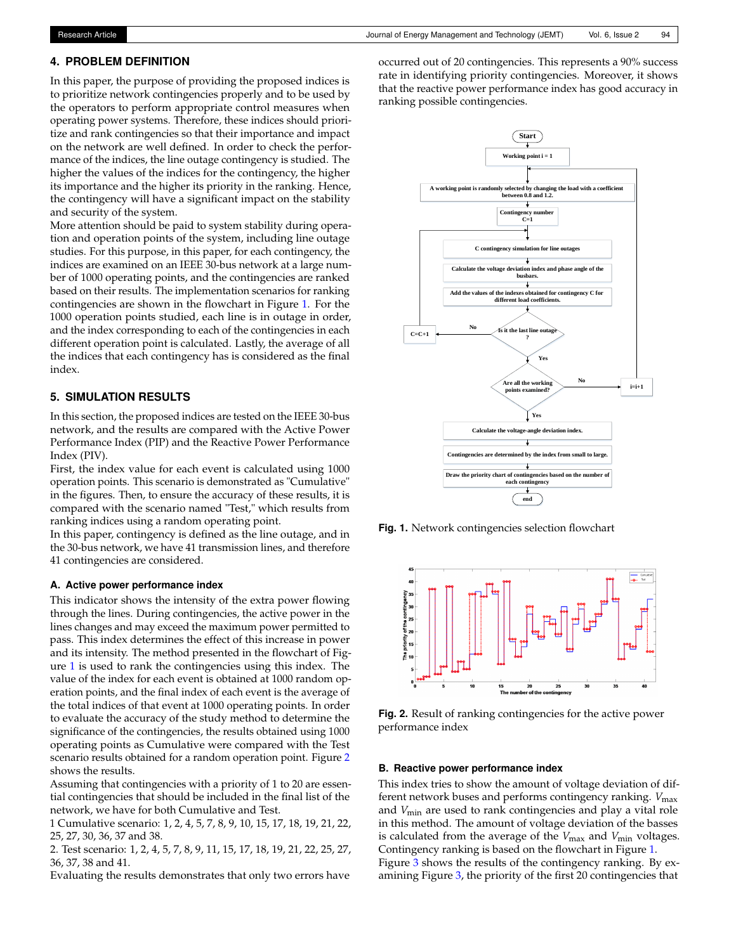# **4. PROBLEM DEFINITION**

In this paper, the purpose of providing the proposed indices is to prioritize network contingencies properly and to be used by the operators to perform appropriate control measures when operating power systems. Therefore, these indices should prioritize and rank contingencies so that their importance and impact on the network are well defined. In order to check the performance of the indices, the line outage contingency is studied. The higher the values of the indices for the contingency, the higher its importance and the higher its priority in the ranking. Hence, the contingency will have a significant impact on the stability and security of the system.

More attention should be paid to system stability during operation and operation points of the system, including line outage studies. For this purpose, in this paper, for each contingency, the indices are examined on an IEEE 30-bus network at a large number of 1000 operating points, and the contingencies are ranked based on their results. The implementation scenarios for ranking contingencies are shown in the flowchart in Figure [1.](#page-3-1) For the 1000 operation points studied, each line is in outage in order, and the index corresponding to each of the contingencies in each different operation point is calculated. Lastly, the average of all the indices that each contingency has is considered as the final index.

# <span id="page-3-0"></span>**5. SIMULATION RESULTS**

In this section, the proposed indices are tested on the IEEE 30-bus network, and the results are compared with the Active Power Performance Index (PIP) and the Reactive Power Performance Index (PIV).

First, the index value for each event is calculated using 1000 operation points. This scenario is demonstrated as "Cumulative" in the figures. Then, to ensure the accuracy of these results, it is compared with the scenario named "Test," which results from ranking indices using a random operating point.

In this paper, contingency is defined as the line outage, and in the 30-bus network, we have 41 transmission lines, and therefore 41 contingencies are considered.

## **A. Active power performance index**

This indicator shows the intensity of the extra power flowing through the lines. During contingencies, the active power in the lines changes and may exceed the maximum power permitted to pass. This index determines the effect of this increase in power and its intensity. The method presented in the flowchart of Figure [1](#page-3-1) is used to rank the contingencies using this index. The value of the index for each event is obtained at 1000 random operation points, and the final index of each event is the average of the total indices of that event at 1000 operating points. In order to evaluate the accuracy of the study method to determine the significance of the contingencies, the results obtained using 1000 operating points as Cumulative were compared with the Test scenario results obtained for a random operation point. Figure [2](#page-3-2) shows the results.

Assuming that contingencies with a priority of 1 to 20 are essential contingencies that should be included in the final list of the network, we have for both Cumulative and Test.

1 Cumulative scenario: 1, 2, 4, 5, 7, 8, 9, 10, 15, 17, 18, 19, 21, 22, 25, 27, 30, 36, 37 and 38.

2. Test scenario: 1, 2, 4, 5, 7, 8, 9, 11, 15, 17, 18, 19, 21, 22, 25, 27, 36, 37, 38 and 41.

Evaluating the results demonstrates that only two errors have

occurred out of 20 contingencies. This represents a 90% success rate in identifying priority contingencies. Moreover, it shows that the reactive power performance index has good accuracy in ranking possible contingencies.

<span id="page-3-1"></span>

**Fig. 1.** Network contingencies selection flowchart

<span id="page-3-2"></span>

**Fig. 2.** Result of ranking contingencies for the active power performance index

## **B. Reactive power performance index**

This index tries to show the amount of voltage deviation of different network buses and performs contingency ranking. *V*max and *V*min are used to rank contingencies and play a vital role in this method. The amount of voltage deviation of the basses is calculated from the average of the *V*<sub>max</sub> and *V*<sub>min</sub> voltages. Contingency ranking is based on the flowchart in Figure [1.](#page-3-1)

Figure [3](#page-4-0) shows the results of the contingency ranking. By examining Figure [3,](#page-4-0) the priority of the first 20 contingencies that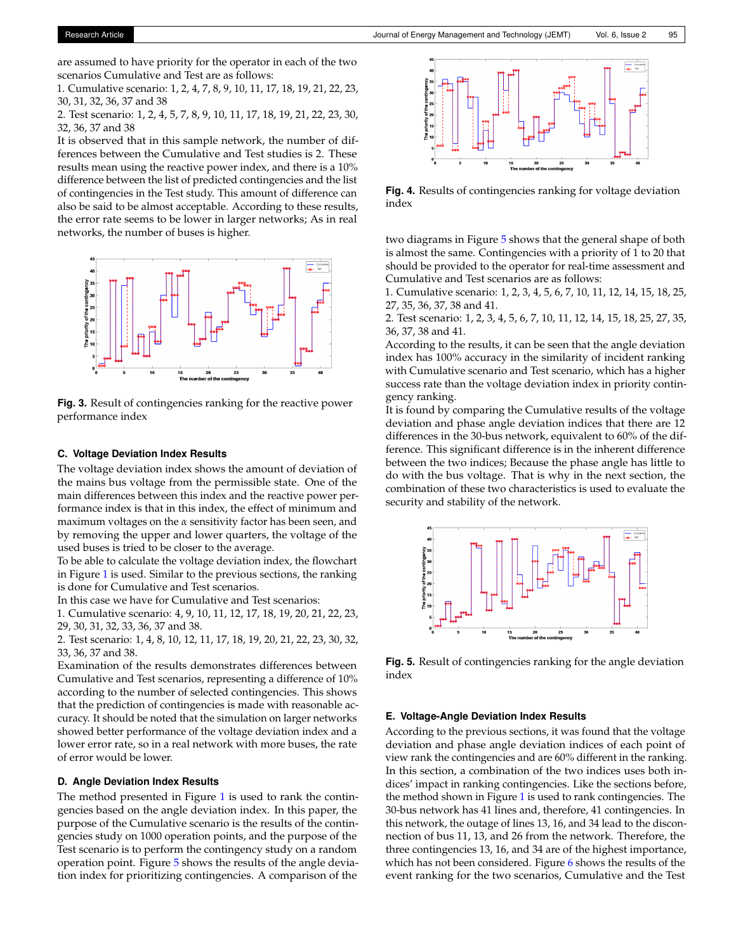are assumed to have priority for the operator in each of the two scenarios Cumulative and Test are as follows:

1. Cumulative scenario: 1, 2, 4, 7, 8, 9, 10, 11, 17, 18, 19, 21, 22, 23, 30, 31, 32, 36, 37 and 38

2. Test scenario: 1, 2, 4, 5, 7, 8, 9, 10, 11, 17, 18, 19, 21, 22, 23, 30, 32, 36, 37 and 38

It is observed that in this sample network, the number of differences between the Cumulative and Test studies is 2. These results mean using the reactive power index, and there is a 10% difference between the list of predicted contingencies and the list of contingencies in the Test study. This amount of difference can also be said to be almost acceptable. According to these results, the error rate seems to be lower in larger networks; As in real networks, the number of buses is higher.

<span id="page-4-0"></span>

**Fig. 3.** Result of contingencies ranking for the reactive power performance index

## **C. Voltage Deviation Index Results**

The voltage deviation index shows the amount of deviation of the mains bus voltage from the permissible state. One of the main differences between this index and the reactive power performance index is that in this index, the effect of minimum and maximum voltages on the *α* sensitivity factor has been seen, and by removing the upper and lower quarters, the voltage of the used buses is tried to be closer to the average.

To be able to calculate the voltage deviation index, the flowchart in Figure [1](#page-3-1) is used. Similar to the previous sections, the ranking is done for Cumulative and Test scenarios.

In this case we have for Cumulative and Test scenarios:

1. Cumulative scenario: 4, 9, 10, 11, 12, 17, 18, 19, 20, 21, 22, 23, 29, 30, 31, 32, 33, 36, 37 and 38.

2. Test scenario: 1, 4, 8, 10, 12, 11, 17, 18, 19, 20, 21, 22, 23, 30, 32, 33, 36, 37 and 38.

Examination of the results demonstrates differences between Cumulative and Test scenarios, representing a difference of 10% according to the number of selected contingencies. This shows that the prediction of contingencies is made with reasonable accuracy. It should be noted that the simulation on larger networks showed better performance of the voltage deviation index and a lower error rate, so in a real network with more buses, the rate of error would be lower.

#### **D. Angle Deviation Index Results**

The method presented in Figure [1](#page-3-1) is used to rank the contingencies based on the angle deviation index. In this paper, the purpose of the Cumulative scenario is the results of the contingencies study on 1000 operation points, and the purpose of the Test scenario is to perform the contingency study on a random operation point. Figure [5](#page-4-1) shows the results of the angle deviation index for prioritizing contingencies. A comparison of the



**Fig. 4.** Results of contingencies ranking for voltage deviation index

two diagrams in Figure [5](#page-4-1) shows that the general shape of both is almost the same. Contingencies with a priority of 1 to 20 that should be provided to the operator for real-time assessment and Cumulative and Test scenarios are as follows:

1. Cumulative scenario: 1, 2, 3, 4, 5, 6, 7, 10, 11, 12, 14, 15, 18, 25, 27, 35, 36, 37, 38 and 41.

2. Test scenario: 1, 2, 3, 4, 5, 6, 7, 10, 11, 12, 14, 15, 18, 25, 27, 35, 36, 37, 38 and 41.

According to the results, it can be seen that the angle deviation index has 100% accuracy in the similarity of incident ranking with Cumulative scenario and Test scenario, which has a higher success rate than the voltage deviation index in priority contingency ranking.

It is found by comparing the Cumulative results of the voltage deviation and phase angle deviation indices that there are 12 differences in the 30-bus network, equivalent to 60% of the difference. This significant difference is in the inherent difference between the two indices; Because the phase angle has little to do with the bus voltage. That is why in the next section, the combination of these two characteristics is used to evaluate the security and stability of the network.

<span id="page-4-1"></span>

**Fig. 5.** Result of contingencies ranking for the angle deviation index

## **E. Voltage-Angle Deviation Index Results**

According to the previous sections, it was found that the voltage deviation and phase angle deviation indices of each point of view rank the contingencies and are 60% different in the ranking. In this section, a combination of the two indices uses both indices' impact in ranking contingencies. Like the sections before, the method shown in Figure [1](#page-3-1) is used to rank contingencies. The 30-bus network has 41 lines and, therefore, 41 contingencies. In this network, the outage of lines 13, 16, and 34 lead to the disconnection of bus 11, 13, and 26 from the network. Therefore, the three contingencies 13, 16, and 34 are of the highest importance, which has not been considered. Figure [6](#page-5-0) shows the results of the event ranking for the two scenarios, Cumulative and the Test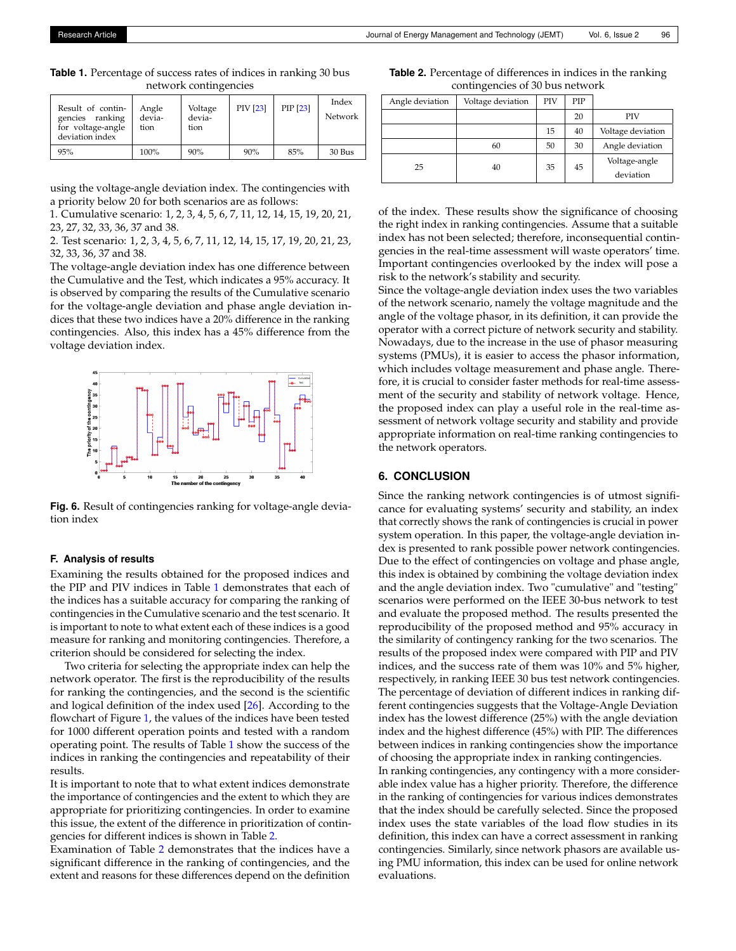<span id="page-5-1"></span>**Table 1.** Percentage of success rates of indices in ranking 30 bus network contingencies

| Result of contin-<br>gencies ranking<br>for voltage-angle<br>deviation index | Angle<br>devia-<br>tion | Voltage<br>devia-<br>tion | PIV [23] | PIP [23] | Index<br><b>Network</b> |
|------------------------------------------------------------------------------|-------------------------|---------------------------|----------|----------|-------------------------|
| 95%                                                                          | 100%                    | 90%                       | 90%      | 85%      | 30 Bus                  |

using the voltage-angle deviation index. The contingencies with a priority below 20 for both scenarios are as follows:

1. Cumulative scenario: 1, 2, 3, 4, 5, 6, 7, 11, 12, 14, 15, 19, 20, 21, 23, 27, 32, 33, 36, 37 and 38.

2. Test scenario: 1, 2, 3, 4, 5, 6, 7, 11, 12, 14, 15, 17, 19, 20, 21, 23, 32, 33, 36, 37 and 38.

The voltage-angle deviation index has one difference between the Cumulative and the Test, which indicates a 95% accuracy. It is observed by comparing the results of the Cumulative scenario for the voltage-angle deviation and phase angle deviation indices that these two indices have a 20% difference in the ranking contingencies. Also, this index has a 45% difference from the voltage deviation index.

<span id="page-5-0"></span>

**Fig. 6.** Result of contingencies ranking for voltage-angle deviation index

## **F. Analysis of results**

Examining the results obtained for the proposed indices and the PIP and PIV indices in Table [1](#page-5-1) demonstrates that each of the indices has a suitable accuracy for comparing the ranking of contingencies in the Cumulative scenario and the test scenario. It is important to note to what extent each of these indices is a good measure for ranking and monitoring contingencies. Therefore, a criterion should be considered for selecting the index.

Two criteria for selecting the appropriate index can help the network operator. The first is the reproducibility of the results for ranking the contingencies, and the second is the scientific and logical definition of the index used [\[26\]](#page-6-21). According to the flowchart of Figure [1,](#page-3-1) the values of the indices have been tested for 1000 different operation points and tested with a random operating point. The results of Table [1](#page-5-1) show the success of the indices in ranking the contingencies and repeatability of their results.

It is important to note that to what extent indices demonstrate the importance of contingencies and the extent to which they are appropriate for prioritizing contingencies. In order to examine this issue, the extent of the difference in prioritization of contingencies for different indices is shown in Table [2.](#page-5-2)

Examination of Table [2](#page-5-2) demonstrates that the indices have a significant difference in the ranking of contingencies, and the extent and reasons for these differences depend on the definition

<span id="page-5-2"></span>**Table 2.** Percentage of differences in indices in the ranking contingencies of 30 bus network

| Angle deviation | Voltage deviation | <b>PIV</b> | <b>PIP</b> |                   |  |
|-----------------|-------------------|------------|------------|-------------------|--|
|                 |                   |            | 20         | <b>PIV</b>        |  |
|                 |                   | 15         | 40         | Voltage deviation |  |
|                 | 60                | 50         | 30         | Angle deviation   |  |
| 25              | 40                | 35         | 45         | Voltage-angle     |  |
|                 |                   |            |            | deviation         |  |

of the index. These results show the significance of choosing the right index in ranking contingencies. Assume that a suitable index has not been selected; therefore, inconsequential contingencies in the real-time assessment will waste operators' time. Important contingencies overlooked by the index will pose a risk to the network's stability and security.

Since the voltage-angle deviation index uses the two variables of the network scenario, namely the voltage magnitude and the angle of the voltage phasor, in its definition, it can provide the operator with a correct picture of network security and stability. Nowadays, due to the increase in the use of phasor measuring systems (PMUs), it is easier to access the phasor information, which includes voltage measurement and phase angle. Therefore, it is crucial to consider faster methods for real-time assessment of the security and stability of network voltage. Hence, the proposed index can play a useful role in the real-time assessment of network voltage security and stability and provide appropriate information on real-time ranking contingencies to the network operators.

## **6. CONCLUSION**

Since the ranking network contingencies is of utmost significance for evaluating systems' security and stability, an index that correctly shows the rank of contingencies is crucial in power system operation. In this paper, the voltage-angle deviation index is presented to rank possible power network contingencies. Due to the effect of contingencies on voltage and phase angle, this index is obtained by combining the voltage deviation index and the angle deviation index. Two "cumulative" and "testing" scenarios were performed on the IEEE 30-bus network to test and evaluate the proposed method. The results presented the reproducibility of the proposed method and 95% accuracy in the similarity of contingency ranking for the two scenarios. The results of the proposed index were compared with PIP and PIV indices, and the success rate of them was 10% and 5% higher, respectively, in ranking IEEE 30 bus test network contingencies. The percentage of deviation of different indices in ranking different contingencies suggests that the Voltage-Angle Deviation index has the lowest difference (25%) with the angle deviation index and the highest difference (45%) with PIP. The differences between indices in ranking contingencies show the importance of choosing the appropriate index in ranking contingencies.

In ranking contingencies, any contingency with a more considerable index value has a higher priority. Therefore, the difference in the ranking of contingencies for various indices demonstrates that the index should be carefully selected. Since the proposed index uses the state variables of the load flow studies in its definition, this index can have a correct assessment in ranking contingencies. Similarly, since network phasors are available using PMU information, this index can be used for online network evaluations.